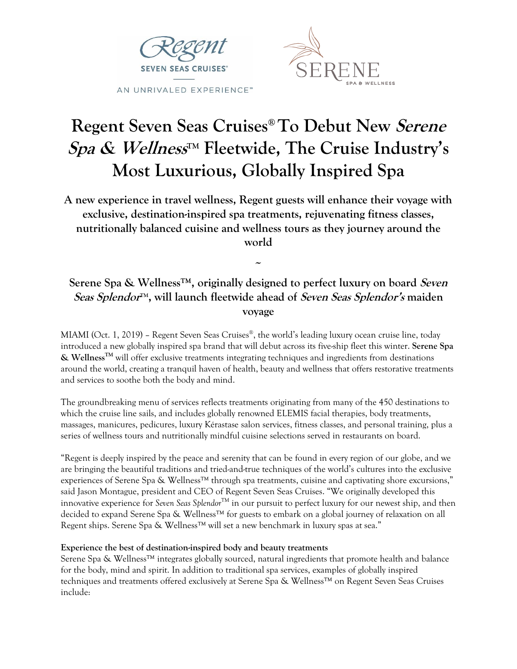



# **Regent Seven Seas Cruises® To Debut New Serene**  Spa & Wellness<sup>™</sup> Fleetwide, The Cruise Industry's **Most Luxurious, Globally Inspired Spa**

**A new experience in travel wellness, Regent guests will enhance their voyage with exclusive, destination-inspired spa treatments, rejuvenating fitness classes, nutritionally balanced cuisine and wellness tours as they journey around the world**

## **Serene Spa & Wellness™, originally designed to perfect luxury on board Seven Seas Splendor TM , will launch fleetwide ahead of Seven Seas Splendor's maiden voyage**

**~**

MIAMI (Oct. 1, 2019) – Regent Seven Seas Cruises® , the world's leading luxury ocean cruise line, today introduced a new globally inspired spa brand that will debut across its five-ship fleet this winter. **Serene Spa & WellnessTM** will offer exclusive treatments integrating techniques and ingredients from destinations around the world, creating a tranquil haven of health, beauty and wellness that offers restorative treatments and services to soothe both the body and mind.

The groundbreaking menu of services reflects treatments originating from many of the 450 destinations to which the cruise line sails, and includes globally renowned ELEMIS facial therapies, body treatments, massages, manicures, pedicures, luxury Kérastase salon services, fitness classes, and personal training, plus a series of wellness tours and nutritionally mindful cuisine selections served in restaurants on board.

"Regent is deeply inspired by the peace and serenity that can be found in every region of our globe, and we are bringing the beautiful traditions and tried-and-true techniques of the world's cultures into the exclusive experiences of Serene Spa & Wellness™ through spa treatments, cuisine and captivating shore excursions," said Jason Montague, president and CEO of Regent Seven Seas Cruises. "We originally developed this innovative experience for *Seven Seas Splendor*TM in our pursuit to perfect luxury for our newest ship, and then decided to expand Serene Spa & Wellness™ for guests to embark on a global journey of relaxation on all Regent ships. Serene Spa & Wellness™ will set a new benchmark in luxury spas at sea."

### **Experience the best of destination-inspired body and beauty treatments**

Serene Spa & Wellness™ integrates globally sourced, natural ingredients that promote health and balance for the body, mind and spirit. In addition to traditional spa services, examples of globally inspired techniques and treatments offered exclusively at Serene Spa & Wellness™ on Regent Seven Seas Cruises include: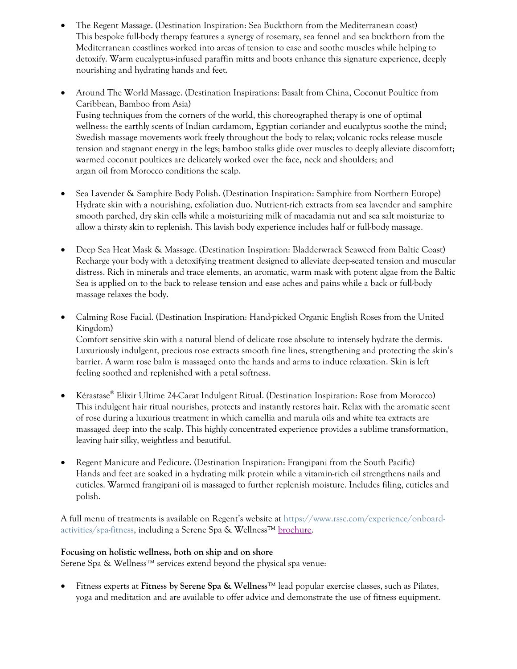- The Regent Massage. (Destination Inspiration: Sea Buckthorn from the Mediterranean coast) This bespoke full-body therapy features a synergy of rosemary, sea fennel and sea buckthorn from the Mediterranean coastlines worked into areas of tension to ease and soothe muscles while helping to detoxify. Warm eucalyptus-infused paraffin mitts and boots enhance this signature experience, deeply nourishing and hydrating hands and feet.
- Around The World Massage. (Destination Inspirations: Basalt from China, Coconut Poultice from Caribbean, Bamboo from Asia) Fusing techniques from the corners of the world, this choreographed therapy is one of optimal wellness: the earthly scents of Indian cardamom, Egyptian coriander and eucalyptus soothe the mind; Swedish massage movements work freely throughout the body to relax; volcanic rocks release muscle tension and stagnant energy in the legs; bamboo stalks glide over muscles to deeply alleviate discomfort; warmed coconut poultices are delicately worked over the face, neck and shoulders; and argan oil from Morocco conditions the scalp.
- Sea Lavender & Samphire Body Polish. (Destination Inspiration: Samphire from Northern Europe) Hydrate skin with a nourishing, exfoliation duo. Nutrient-rich extracts from sea lavender and samphire smooth parched, dry skin cells while a moisturizing milk of macadamia nut and sea salt moisturize to allow a thirsty skin to replenish. This lavish body experience includes half or full-body massage.
- Deep Sea Heat Mask & Massage. (Destination Inspiration: Bladderwrack Seaweed from Baltic Coast) Recharge your body with a detoxifying treatment designed to alleviate deep-seated tension and muscular distress. Rich in minerals and trace elements, an aromatic, warm mask with potent algae from the Baltic Sea is applied on to the back to release tension and ease aches and pains while a back or full-body massage relaxes the body.
- Calming Rose Facial. (Destination Inspiration: Hand-picked Organic English Roses from the United Kingdom)

Comfort sensitive skin with a natural blend of delicate rose absolute to intensely hydrate the dermis. Luxuriously indulgent, precious rose extracts smooth fine lines, strengthening and protecting the skin's barrier. A warm rose balm is massaged onto the hands and arms to induce relaxation. Skin is left feeling soothed and replenished with a petal softness.

- Kérastase® Elixir Ultime 24-Carat Indulgent Ritual. (Destination Inspiration: Rose from Morocco) This indulgent hair ritual nourishes, protects and instantly restores hair. Relax with the aromatic scent of rose during a luxurious treatment in which camellia and marula oils and white tea extracts are massaged deep into the scalp. This highly concentrated experience provides a sublime transformation, leaving hair silky, weightless and beautiful.
- Regent Manicure and Pedicure. (Destination Inspiration: Frangipani from the South Pacific) Hands and feet are soaked in a hydrating milk protein while a vitamin-rich oil strengthens nails and cuticles. Warmed frangipani oil is massaged to further replenish moisture. Includes filing, cuticles and polish.

A full menu of treatments is available on Regent's website at [https://www.rssc.com/experience/onboard](https://www.rssc.com/experience/onboard-activities/spa-fitness)[activities/spa-fitness,](https://www.rssc.com/experience/onboard-activities/spa-fitness) including a Serene Spa & Wellness™ [brochure.](https://www.rssc.com/sites/default/files/2019-09/SereneSpaWellnessMenu.pdf)

#### **Focusing on holistic wellness, both on ship and on shore**

Serene Spa & Wellness<sup>™</sup> services extend beyond the physical spa venue:

• Fitness experts at **Fitness by Serene Spa & Wellness**™ lead popular exercise classes, such as Pilates, yoga and meditation and are available to offer advice and demonstrate the use of fitness equipment.